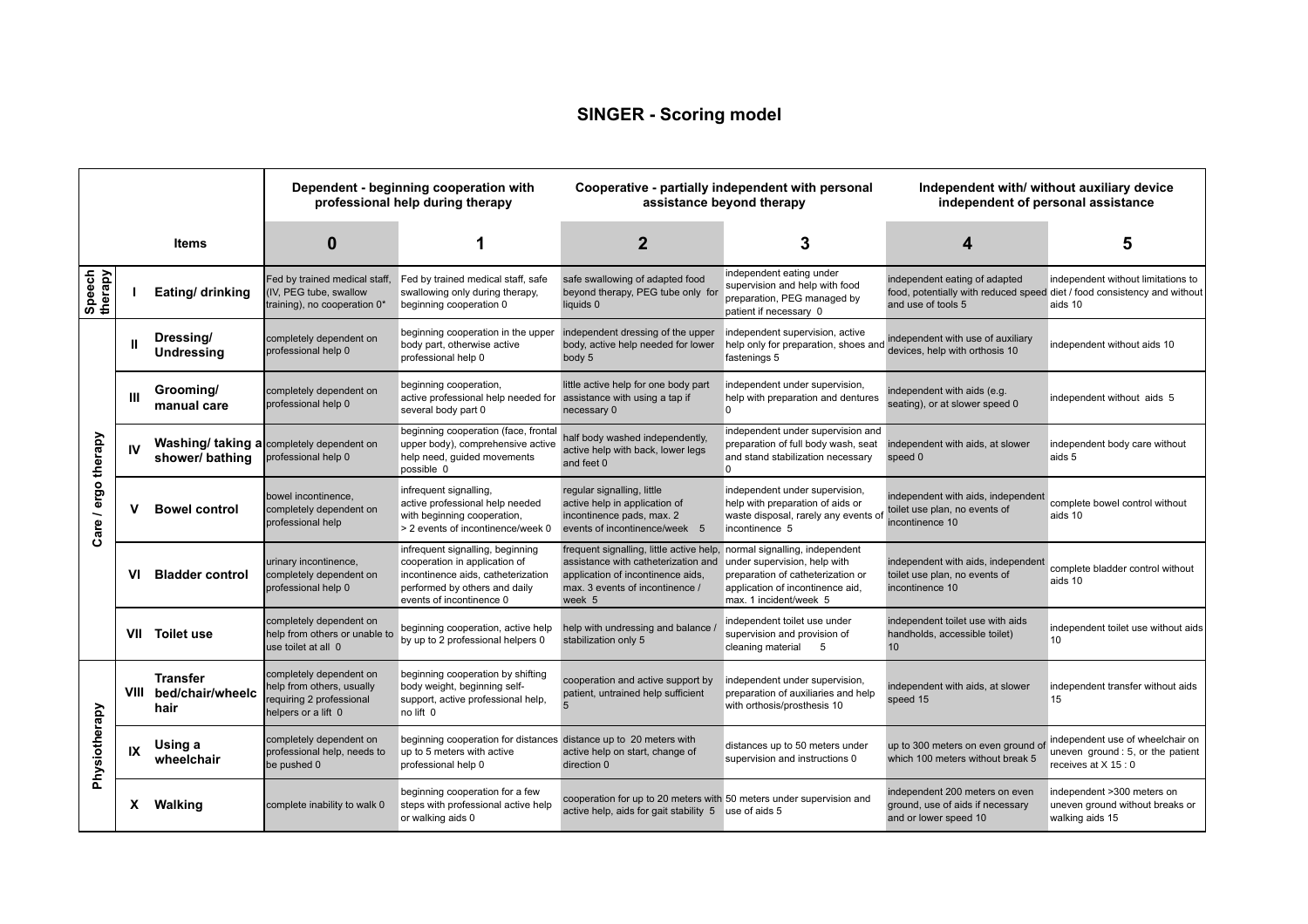## **SINGER - Scoring model**

|                     |             |                                             | Dependent - beginning cooperation with<br>professional help during therapy                             |                                                                                                                                                                      | Cooperative - partially independent with personal<br>assistance beyond therapy                                                                                                                   |                                                                                                                                 | Independent with/ without auxiliary device<br>independent of personal assistance                                                |                                                                                              |
|---------------------|-------------|---------------------------------------------|--------------------------------------------------------------------------------------------------------|----------------------------------------------------------------------------------------------------------------------------------------------------------------------|--------------------------------------------------------------------------------------------------------------------------------------------------------------------------------------------------|---------------------------------------------------------------------------------------------------------------------------------|---------------------------------------------------------------------------------------------------------------------------------|----------------------------------------------------------------------------------------------|
|                     |             | Items                                       | 0                                                                                                      | 1                                                                                                                                                                    | $\overline{2}$                                                                                                                                                                                   | 3                                                                                                                               | 4                                                                                                                               | 5                                                                                            |
| Speech<br>therapy   |             | Eating/ drinking                            | Fed by trained medical staff,<br>IV, PEG tube, swallow<br>training), no cooperation 0*                 | Fed by trained medical staff, safe<br>swallowing only during therapy,<br>beginning cooperation 0                                                                     | safe swallowing of adapted food<br>beyond therapy, PEG tube only for<br>liquids 0                                                                                                                | independent eating under<br>supervision and help with food<br>preparation, PEG managed by<br>patient if necessary 0             | independent eating of adapted<br>food, potentially with reduced speed diet / food consistency and without<br>and use of tools 5 | independent without limitations to<br>aids 10                                                |
| Care / ergo therapy | Ш           | Dressing/<br><b>Undressing</b>              | completely dependent on<br>professional help 0                                                         | beginning cooperation in the upper<br>body part, otherwise active<br>professional help 0                                                                             | independent dressing of the upper<br>body, active help needed for lower<br>body 5                                                                                                                | independent supervision, active<br>help only for preparation, shoes and<br>fastenings 5                                         | independent with use of auxiliary<br>devices, help with orthosis 10                                                             | independent without aids 10                                                                  |
|                     | Ш           | Grooming/<br>manual care                    | completely dependent on<br>professional help 0                                                         | beginning cooperation,<br>active professional help needed for<br>several body part 0                                                                                 | little active help for one body part<br>assistance with using a tap if<br>necessary 0                                                                                                            | independent under supervision,<br>help with preparation and dentures<br>$\overline{0}$                                          | independent with aids (e.g.<br>seating), or at slower speed 0                                                                   | independent without aids 5                                                                   |
|                     | IV          | shower/bathing                              | Washing/ taking a completely dependent on<br>professional help 0                                       | beginning cooperation (face, frontal<br>upper body), comprehensive active<br>help need, guided movements<br>possible 0                                               | half body washed independently,<br>active help with back, lower legs<br>and feet 0                                                                                                               | independent under supervision and<br>preparation of full body wash, seat<br>and stand stabilization necessary<br>0              | independent with aids, at slower<br>speed 0                                                                                     | independent body care without<br>aids 5                                                      |
|                     | v           | <b>Bowel control</b>                        | bowel incontinence.<br>completely dependent on<br>professional help                                    | infrequent signalling,<br>active professional help needed<br>with beginning cooperation,<br>> 2 events of incontinence/week 0                                        | regular signalling, little<br>active help in application of<br>incontinence pads, max. 2<br>events of incontinence/week 5                                                                        | independent under supervision,<br>help with preparation of aids or<br>waste disposal, rarely any events of<br>incontinence 5    | independent with aids, independent<br>toilet use plan, no events of<br>incontinence 10                                          | complete bowel control without<br>aids 10                                                    |
|                     | vı          | <b>Bladder control</b>                      | urinary incontinence,<br>completely dependent on<br>professional help 0                                | infrequent signalling, beginning<br>cooperation in application of<br>incontinence aids, catheterization<br>performed by others and daily<br>events of incontinence 0 | frequent signalling, little active help, normal signalling, independent<br>assistance with catheterization and<br>application of incontinence aids,<br>max. 3 events of incontinence /<br>week 5 | under supervision, help with<br>preparation of catheterization or<br>application of incontinence aid,<br>max. 1 incident/week 5 | independent with aids, independent<br>toilet use plan, no events of<br>incontinence 10                                          | complete bladder control without<br>aids 10                                                  |
|                     |             | VII Toilet use                              | completely dependent on<br>help from others or unable to<br>use toilet at all 0                        | beginning cooperation, active help<br>by up to 2 professional helpers 0                                                                                              | help with undressing and balance.<br>stabilization only 5                                                                                                                                        | independent toilet use under<br>supervision and provision of<br>5<br>cleaning material                                          | independent toilet use with aids<br>handholds, accessible toilet)<br>10                                                         | independent toilet use without aids<br>10                                                    |
| Physiotherapy       | <b>VIII</b> | <b>Transfer</b><br>bed/chair/wheelc<br>hair | completely dependent on<br>help from others, usually<br>equiring 2 professional<br>helpers or a lift 0 | beginning cooperation by shifting<br>body weight, beginning self-<br>support, active professional help,<br>no lift 0                                                 | cooperation and active support by<br>patient, untrained help sufficient                                                                                                                          | independent under supervision,<br>preparation of auxiliaries and help<br>with orthosis/prosthesis 10                            | independent with aids, at slower<br>speed 15                                                                                    | independent transfer without aids<br>15                                                      |
|                     | IX          | Using a<br>wheelchair                       | completely dependent on<br>professional help, needs to<br>be pushed 0                                  | beginning cooperation for distances distance up to 20 meters with<br>up to 5 meters with active<br>professional help 0                                               | active help on start, change of<br>direction 0                                                                                                                                                   | distances up to 50 meters under<br>supervision and instructions 0                                                               | up to 300 meters on even ground of<br>which 100 meters without break 5                                                          | independent use of wheelchair on<br>uneven ground: 5, or the patient<br>receives at X 15 : 0 |
|                     | X.          | Walking                                     | complete inability to walk 0                                                                           | beginning cooperation for a few<br>steps with professional active help<br>or walking aids 0                                                                          | cooperation for up to 20 meters with 50 meters under supervision and<br>active help, aids for gait stability 5 use of aids 5                                                                     |                                                                                                                                 | independent 200 meters on even<br>ground, use of aids if necessary<br>and or lower speed 10                                     | independent >300 meters on<br>uneven ground without breaks or<br>walking aids 15             |